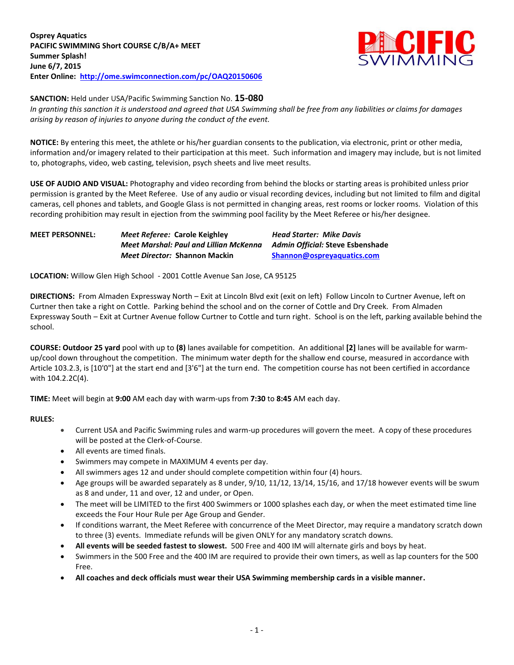

**SANCTION:** Held under USA/Pacific Swimming Sanction No. **15-080**

*In granting this sanction it is understood and agreed that USA Swimming shall be free from any liabilities or claims for damages arising by reason of injuries to anyone during the conduct of the event.*

**NOTICE:** By entering this meet, the athlete or his/her guardian consents to the publication, via electronic, print or other media, information and/or imagery related to their participation at this meet. Such information and imagery may include, but is not limited to, photographs, video, web casting, television, psych sheets and live meet results.

**USE OF AUDIO AND VISUAL:** Photography and video recording from behind the blocks or starting areas is prohibited unless prior permission is granted by the Meet Referee. Use of any audio or visual recording devices, including but not limited to film and digital cameras, cell phones and tablets, and Google Glass is not permitted in changing areas, rest rooms or locker rooms. Violation of this recording prohibition may result in ejection from the swimming pool facility by the Meet Referee or his/her designee.

| <b>MEET PERSONNEL:</b> | <i>Meet Referee: Carole Keighley</i>   | <b>Head Starter: Mike Davis</b>  |
|------------------------|----------------------------------------|----------------------------------|
|                        | Meet Marshal: Paul and Lillian McKenna | Admin Official: Steve Esbenshade |
|                        | <i>Meet Director:</i> Shannon Mackin   | Shannon@ospreyaguatics.com       |

**LOCATION:** Willow Glen High School - 2001 Cottle Avenue San Jose, CA 95125

**DIRECTIONS:** From Almaden Expressway North – Exit at Lincoln Blvd exit (exit on left) Follow Lincoln to Curtner Avenue, left on Curtner then take a right on Cottle. Parking behind the school and on the corner of Cottle and Dry Creek. From Almaden Expressway South – Exit at Curtner Avenue follow Curtner to Cottle and turn right. School is on the left, parking available behind the school.

**COURSE: Outdoor 25 yard** pool with up to **(8)** lanes available for competition.An additional **[2]** lanes will be available for warmup/cool down throughout the competition. The minimum water depth for the shallow end course, measured in accordance with Article 103.2.3, is [10'0"] at the start end and [3'6"] at the turn end. The competition course has not been certified in accordance with 104.2.2C(4).

**TIME:** Meet will begin at **9:00** AM each day with warm-ups from **7:30** to **8:45** AM each day.

### **RULES:**

- Current USA and Pacific Swimming rules and warm-up procedures will govern the meet. A copy of these procedures will be posted at the Clerk-of-Course.
- All events are timed finals.
- Swimmers may compete in MAXIMUM 4 events per day.
- All swimmers ages 12 and under should complete competition within four (4) hours.
- Age groups will be awarded separately as 8 under, 9/10, 11/12, 13/14, 15/16, and 17/18 however events will be swum as 8 and under, 11 and over, 12 and under, or Open.
- The meet will be LIMITED to the first 400 Swimmers or 1000 splashes each day, or when the meet estimated time line exceeds the Four Hour Rule per Age Group and Gender.
- If conditions warrant, the Meet Referee with concurrence of the Meet Director, may require a mandatory scratch down to three (3) events. Immediate refunds will be given ONLY for any mandatory scratch downs.
- **All events will be seeded fastest to slowest.** 500 Free and 400 IM will alternate girls and boys by heat.
- Swimmers in the 500 Free and the 400 IM are required to provide their own timers, as well as lap counters for the 500 Free.
- **All coaches and deck officials must wear their USA Swimming membership cards in a visible manner.**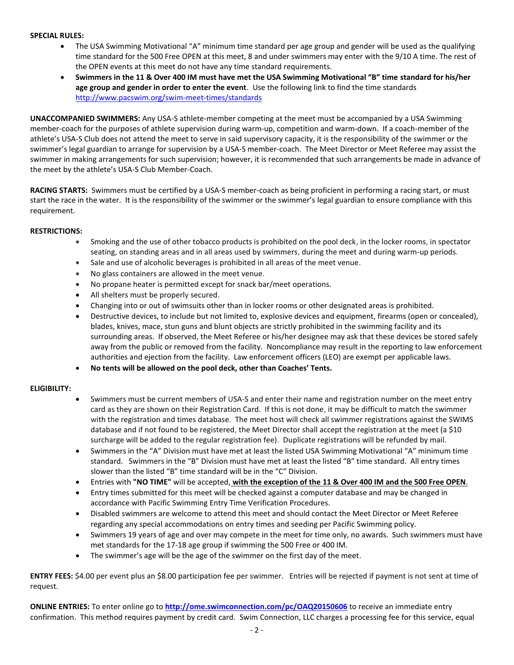#### **SPECIAL RULES:**

- The USA Swimming Motivational "A" minimum time standard per age group and gender will be used as the qualifying time standard for the 500 Free OPEN at this meet, 8 and under swimmers may enter with the 9/10 A time. The rest of the OPEN events at this meet do not have any time standard requirements.
- **Swimmers in the 11 & Over 400 IM must have met the USA Swimming Motivational "B" time standard for his/her age group and gender in order to enter the event**. Use the following link to find the time standards <http://www.pacswim.org/swim-meet-times/standards>

**UNACCOMPANIED SWIMMERS:** Any USA-S athlete-member competing at the meet must be accompanied by a USA Swimming member-coach for the purposes of athlete supervision during warm-up, competition and warm-down. If a coach-member of the athlete's USA-S Club does not attend the meet to serve in said supervisory capacity, it is the responsibility of the swimmer or the swimmer's legal guardian to arrange for supervision by a USA-S member-coach. The Meet Director or Meet Referee may assist the swimmer in making arrangements for such supervision; however, it is recommended that such arrangements be made in advance of the meet by the athlete's USA-S Club Member-Coach.

**RACING STARTS:** Swimmers must be certified by a USA-S member-coach as being proficient in performing a racing start, or must start the race in the water. It is the responsibility of the swimmer or the swimmer's legal guardian to ensure compliance with this requirement.

### **RESTRICTIONS:**

- Smoking and the use of other tobacco products is prohibited on the pool deck, in the locker rooms, in spectator seating, on standing areas and in all areas used by swimmers, during the meet and during warm-up periods.
- Sale and use of alcoholic beverages is prohibited in all areas of the meet venue.
- No glass containers are allowed in the meet venue.
- No propane heater is permitted except for snack bar/meet operations.
- All shelters must be properly secured.
- Changing into or out of swimsuits other than in locker rooms or other designated areas is prohibited.
- Destructive devices, to include but not limited to, explosive devices and equipment, firearms (open or concealed), blades, knives, mace, stun guns and blunt objects are strictly prohibited in the swimming facility and its surrounding areas. If observed, the Meet Referee or his/her designee may ask that these devices be stored safely away from the public or removed from the facility. Noncompliance may result in the reporting to law enforcement authorities and ejection from the facility. Law enforcement officers (LEO) are exempt per applicable laws.
- **No tents will be allowed on the pool deck, other than Coaches' Tents.**

### **ELIGIBILITY:**

- Swimmers must be current members of USA-S and enter their name and registration number on the meet entry card as they are shown on their Registration Card. If this is not done, it may be difficult to match the swimmer with the registration and times database. The meet host will check all swimmer registrations against the SWIMS database and if not found to be registered, the Meet Director shall accept the registration at the meet (a \$10 surcharge will be added to the regular registration fee). Duplicate registrations will be refunded by mail.
- Swimmers in the "A" Division must have met at least the listed USA Swimming Motivational "A" minimum time standard. Swimmers in the "B" Division must have met at least the listed "B" time standard. All entry times slower than the listed "B" time standard will be in the "C" Division.
- Entries with **"NO TIME"** will be accepted, **with the exception of the 11 & Over 400 IM and the 500 Free OPEN**.
- Entry times submitted for this meet will be checked against a computer database and may be changed in accordance with Pacific Swimming Entry Time Verification Procedures.
- Disabled swimmers are welcome to attend this meet and should contact the Meet Director or Meet Referee regarding any special accommodations on entry times and seeding per Pacific Swimming policy.
- Swimmers 19 years of age and over may compete in the meet for time only, no awards. Such swimmers must have met standards for the 17-18 age group if swimming the 500 Free or 400 IM.
- The swimmer's age will be the age of the swimmer on the first day of the meet.

**ENTRY FEES:** \$4.00 per event plus an \$8.00 participation fee per swimmer. Entries will be rejected if payment is not sent at time of request.

**ONLINE ENTRIES:** To enter online go to **<http://ome.swimconnection.com/pc/OAQ20150606>** to receive an immediate entry confirmation. This method requires payment by credit card. Swim Connection, LLC charges a processing fee for this service, equal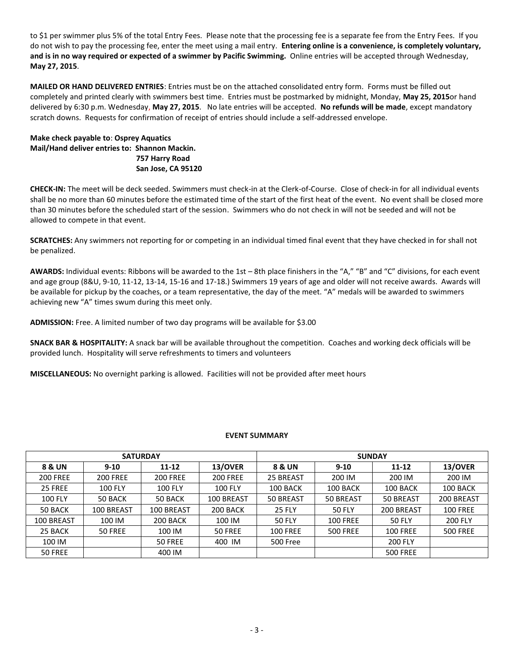to \$1 per swimmer plus 5% of the total Entry Fees. Please note that the processing fee is a separate fee from the Entry Fees. If you do not wish to pay the processing fee, enter the meet using a mail entry. **Entering online is a convenience, is completely voluntary, and is in no way required or expected of a swimmer by Pacific Swimming.** Online entries will be accepted through Wednesday, **May 27, 2015**.

**MAILED OR HAND DELIVERED ENTRIES**: Entries must be on the attached consolidated entry form. Forms must be filled out completely and printed clearly with swimmers best time. Entries must be postmarked by midnight, Monday, **May 25, 2015**or hand delivered by 6:30 p.m. Wednesday, **May 27, 2015**. No late entries will be accepted. **No refunds will be made**, except mandatory scratch downs. Requests for confirmation of receipt of entries should include a self-addressed envelope.

# **Make check payable to**: **Osprey Aquatics Mail/Hand deliver entries to: Shannon Mackin. 757 Harry Road San Jose, CA 95120**

**CHECK-IN:** The meet will be deck seeded. Swimmers must check-in at the Clerk-of-Course. Close of check-in for all individual events shall be no more than 60 minutes before the estimated time of the start of the first heat of the event. No event shall be closed more than 30 minutes before the scheduled start of the session. Swimmers who do not check in will not be seeded and will not be allowed to compete in that event.

**SCRATCHES:** Any swimmers not reporting for or competing in an individual timed final event that they have checked in for shall not be penalized.

**AWARDS:** Individual events: Ribbons will be awarded to the 1st – 8th place finishers in the "A," "B" and "C" divisions, for each event and age group (8&U, 9-10, 11-12, 13-14, 15-16 and 17-18.) Swimmers 19 years of age and older will not receive awards. Awards will be available for pickup by the coaches, or a team representative, the day of the meet. "A" medals will be awarded to swimmers achieving new "A" times swum during this meet only.

**ADMISSION:** Free. A limited number of two day programs will be available for \$3.00

**SNACK BAR & HOSPITALITY:** A snack bar will be available throughout the competition. Coaches and working deck officials will be provided lunch. Hospitality will serve refreshments to timers and volunteers

**MISCELLANEOUS:** No overnight parking is allowed. Facilities will not be provided after meet hours

# **EVENT SUMMARY**

|                   | <b>SATURDAY</b> |                 |                 | <b>SUNDAY</b>   |                 |                  |                 |  |
|-------------------|-----------------|-----------------|-----------------|-----------------|-----------------|------------------|-----------------|--|
| <b>8 &amp; UN</b> | $9 - 10$        | $11 - 12$       | 13/OVER         | 8 & UN          | $9 - 10$        | 11-12            | 13/OVER         |  |
| <b>200 FREE</b>   | <b>200 FREE</b> | <b>200 FREE</b> | <b>200 FREE</b> | 25 BREAST       | 200 IM          | 200 IM           | 200 IM          |  |
| 25 FREE           | <b>100 FLY</b>  | <b>100 FLY</b>  | <b>100 FLY</b>  | 100 BACK        | 100 BACK        | 100 BACK         | 100 BACK        |  |
| <b>100 FLY</b>    | 50 BACK         | 50 BACK         | 100 BREAST      | 50 BREAST       | 50 BREAST       | <b>50 BREAST</b> | 200 BREAST      |  |
| 50 BACK           | 100 BREAST      | 100 BREAST      | 200 BACK        | <b>25 FLY</b>   | <b>50 FLY</b>   | 200 BREAST       | <b>100 FREE</b> |  |
| 100 BREAST        | 100 IM          | 200 BACK        | 100 IM          | <b>50 FLY</b>   | <b>100 FREE</b> | <b>50 FLY</b>    | <b>200 FLY</b>  |  |
| 25 BACK           | 50 FREE         | 100 IM          | 50 FREE         | <b>100 FREE</b> | <b>500 FREE</b> | <b>100 FREE</b>  | <b>500 FREE</b> |  |
| 100 IM            |                 | 50 FREE         | 400 IM          | <b>500 Free</b> |                 | <b>200 FLY</b>   |                 |  |
| 50 FREE           |                 | 400 IM          |                 |                 |                 | <b>500 FREE</b>  |                 |  |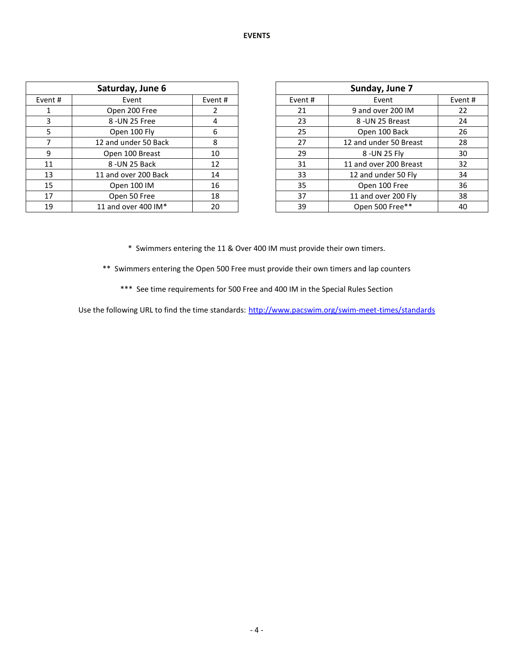| Saturday, June 6 |                      |    |  |         | Sunday, June 7         |         |
|------------------|----------------------|----|--|---------|------------------------|---------|
| Event #          | Event<br>Event#      |    |  | Event # | Event                  | Event # |
|                  | Open 200 Free        |    |  | 21      | 9 and over 200 IM      | 22      |
|                  | 8 - UN 25 Free       | 4  |  | 23      | 8 - UN 25 Breast       | 24      |
|                  | Open 100 Fly         | 6  |  | 25      | Open 100 Back          | 26      |
|                  | 12 and under 50 Back | 8  |  | 27      | 12 and under 50 Breast | 28      |
| 9                | Open 100 Breast      | 10 |  | 29      | 8 - UN 25 Fly          | 30      |
| 11               | 8-UN 25 Back         | 12 |  | 31      | 11 and over 200 Breast | 32      |
| 13               | 11 and over 200 Back | 14 |  | 33      | 12 and under 50 Fly    | 34      |
| 15               | Open 100 IM          | 16 |  | 35      | Open 100 Free          | 36      |
| 17               | Open 50 Free         | 18 |  | 37      | 11 and over 200 Fly    | 38      |
| 19               | 11 and over 400 IM*  | 20 |  | 39      | Open 500 Free**        | 40      |

| Sunday, June 7 |                        |    |  |  |  |  |  |
|----------------|------------------------|----|--|--|--|--|--|
| Event #        | Event                  |    |  |  |  |  |  |
| 21             | 9 and over 200 IM      | 22 |  |  |  |  |  |
| 23             | 8 -UN 25 Breast        | 24 |  |  |  |  |  |
| 25             | Open 100 Back          | 26 |  |  |  |  |  |
| 27             | 12 and under 50 Breast | 28 |  |  |  |  |  |
| 29             | 8 - UN 25 Fly          | 30 |  |  |  |  |  |
| 31             | 11 and over 200 Breast | 32 |  |  |  |  |  |
| 33             | 12 and under 50 Fly    | 34 |  |  |  |  |  |
| 35             | Open 100 Free          | 36 |  |  |  |  |  |
| 37             | 11 and over 200 Fly    | 38 |  |  |  |  |  |
| 39             | Open 500 Free**        | 40 |  |  |  |  |  |

\* Swimmers entering the 11 & Over 400 IM must provide their own timers.

\*\* Swimmers entering the Open 500 Free must provide their own timers and lap counters

\*\*\* See time requirements for 500 Free and 400 IM in the Special Rules Section

Use the following URL to find the time standards: <http://www.pacswim.org/swim-meet-times/standards>